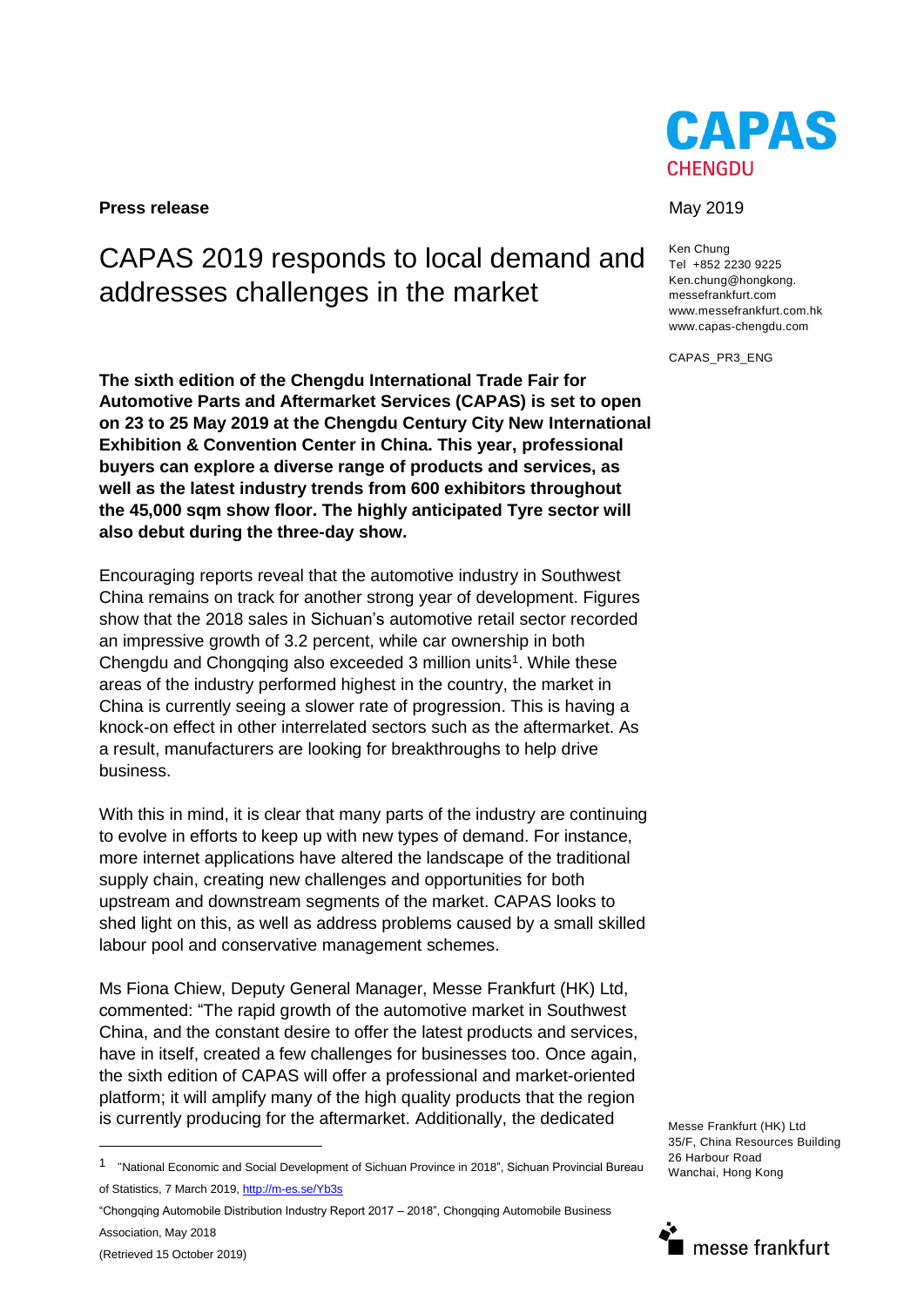**Press release** May 2019

# CAPAS 2019 responds to local demand and addresses challenges in the market

**The sixth edition of the Chengdu International Trade Fair for Automotive Parts and Aftermarket Services (CAPAS) is set to open on 23 to 25 May 2019 at the Chengdu Century City New International Exhibition & Convention Center in China. This year, professional buyers can explore a diverse range of products and services, as well as the latest industry trends from 600 exhibitors throughout the 45,000 sqm show floor. The highly anticipated Tyre sector will also debut during the three-day show.** 

Encouraging reports reveal that the automotive industry in Southwest China remains on track for another strong year of development. Figures show that the 2018 sales in Sichuan's automotive retail sector recorded an impressive growth of 3.2 percent, while car ownership in both Chengdu and Chongqing also exceeded 3 million units<sup>1</sup>. While these areas of the industry performed highest in the country, the market in China is currently seeing a slower rate of progression. This is having a knock-on effect in other interrelated sectors such as the aftermarket. As a result, manufacturers are looking for breakthroughs to help drive business.

With this in mind, it is clear that many parts of the industry are continuing to evolve in efforts to keep up with new types of demand. For instance, more internet applications have altered the landscape of the traditional supply chain, creating new challenges and opportunities for both upstream and downstream segments of the market. CAPAS looks to shed light on this, as well as address problems caused by a small skilled labour pool and conservative management schemes.

Ms Fiona Chiew, Deputy General Manager, Messe Frankfurt (HK) Ltd, commented: "The rapid growth of the automotive market in Southwest China, and the constant desire to offer the latest products and services, have in itself, created a few challenges for businesses too. Once again, the sixth edition of CAPAS will offer a professional and market-oriented platform; it will amplify many of the high quality products that the region is currently producing for the aftermarket. Additionally, the dedicated

"Chongqing Automobile Distribution Industry Report 2017 – 2018", Chongqing Automobile Business Association, May 2018

 $\overline{a}$ 



Ken Chung Tel +852 2230 9225 Ken.chung@hongkong. messefrankfurt.com www.messefrankfurt.com.hk www.capas-chengdu.com

CAPAS\_PR3\_ENG

Messe Frankfurt (HK) Ltd 35/F, China Resources Building 26 Harbour Road Wanchai, Hong Kong



<sup>1</sup> "National Economic and Social Development of Sichuan Province in 2018", Sichuan Provincial Bureau of Statistics, 7 March 2019, <http://m-es.se/Yb3s>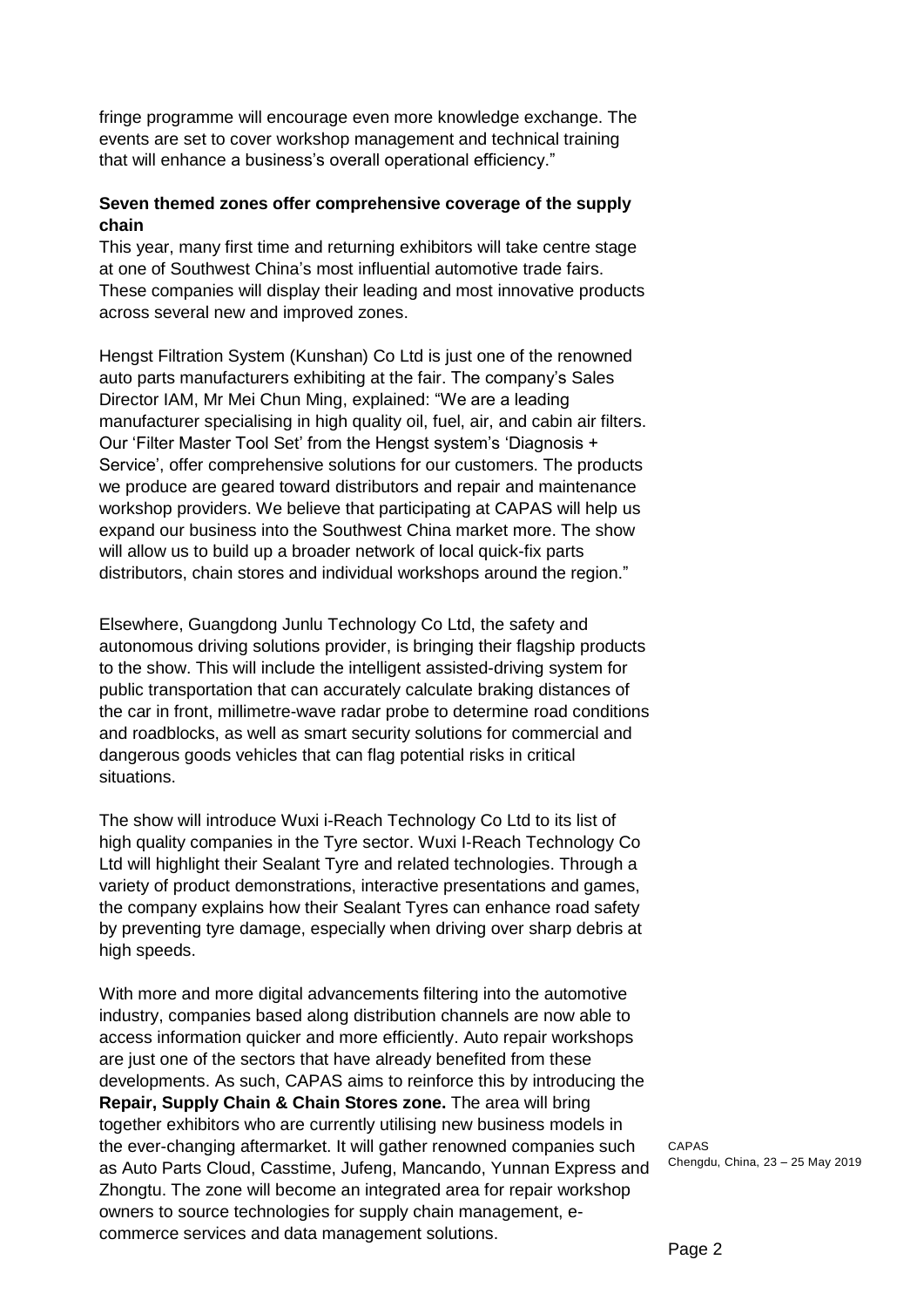fringe programme will encourage even more knowledge exchange. The events are set to cover workshop management and technical training that will enhance a business's overall operational efficiency."

## **Seven themed zones offer comprehensive coverage of the supply chain**

This year, many first time and returning exhibitors will take centre stage at one of Southwest China's most influential automotive trade fairs. These companies will display their leading and most innovative products across several new and improved zones.

Hengst Filtration System (Kunshan) Co Ltd is just one of the renowned auto parts manufacturers exhibiting at the fair. The company's Sales Director IAM, Mr Mei Chun Ming, explained: "We are a leading manufacturer specialising in high quality oil, fuel, air, and cabin air filters. Our 'Filter Master Tool Set' from the Hengst system's 'Diagnosis + Service', offer comprehensive solutions for our customers. The products we produce are geared toward distributors and repair and maintenance workshop providers. We believe that participating at CAPAS will help us expand our business into the Southwest China market more. The show will allow us to build up a broader network of local quick-fix parts distributors, chain stores and individual workshops around the region."

Elsewhere, Guangdong Junlu Technology Co Ltd, the safety and autonomous driving solutions provider, is bringing their flagship products to the show. This will include the intelligent assisted-driving system for public transportation that can accurately calculate braking distances of the car in front, millimetre-wave radar probe to determine road conditions and roadblocks, as well as smart security solutions for commercial and dangerous goods vehicles that can flag potential risks in critical situations.

The show will introduce Wuxi i-Reach Technology Co Ltd to its list of high quality companies in the Tyre sector. Wuxi I-Reach Technology Co Ltd will highlight their Sealant Tyre and related technologies. Through a variety of product demonstrations, interactive presentations and games, the company explains how their Sealant Tyres can enhance road safety by preventing tyre damage, especially when driving over sharp debris at high speeds.

With more and more digital advancements filtering into the automotive industry, companies based along distribution channels are now able to access information quicker and more efficiently. Auto repair workshops are just one of the sectors that have already benefited from these developments. As such, CAPAS aims to reinforce this by introducing the **Repair, Supply Chain & Chain Stores zone.** The area will bring together exhibitors who are currently utilising new business models in the ever-changing aftermarket. It will gather renowned companies such as Auto Parts Cloud, Casstime, Jufeng, Mancando, Yunnan Express and Zhongtu. The zone will become an integrated area for repair workshop owners to source technologies for supply chain management, ecommerce services and data management solutions.

CAPAS Chengdu, China, 23 – 25 May 2019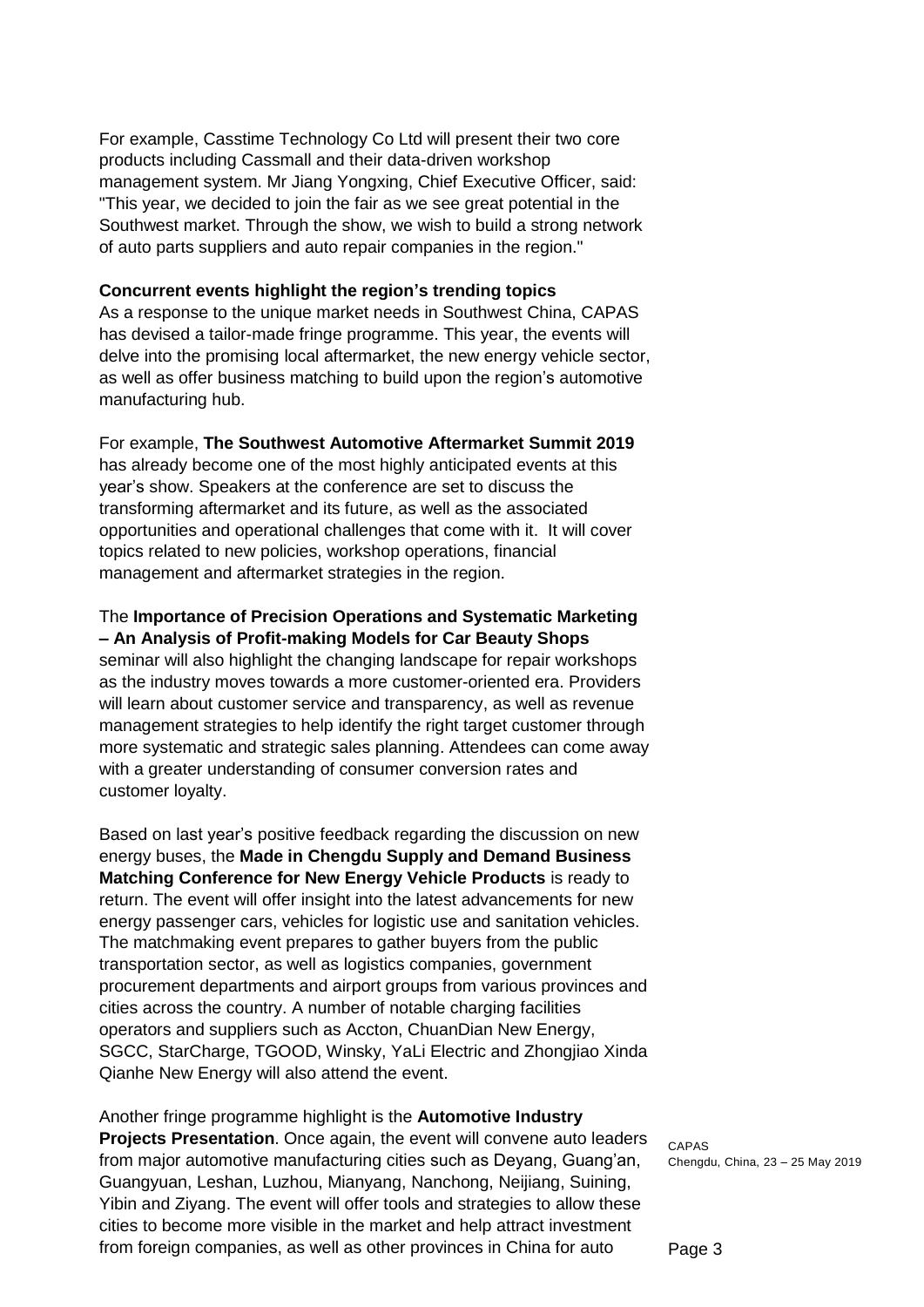For example, Casstime Technology Co Ltd will present their two core products including Cassmall and their data-driven workshop management system. Mr Jiang Yongxing, Chief Executive Officer, said: "This year, we decided to join the fair as we see great potential in the Southwest market. Through the show, we wish to build a strong network of auto parts suppliers and auto repair companies in the region."

### **Concurrent events highlight the region's trending topics**

As a response to the unique market needs in Southwest China, CAPAS has devised a tailor-made fringe programme. This year, the events will delve into the promising local aftermarket, the new energy vehicle sector, as well as offer business matching to build upon the region's automotive manufacturing hub.

For example, **The Southwest Automotive Aftermarket Summit 2019** has already become one of the most highly anticipated events at this year's show. Speakers at the conference are set to discuss the transforming aftermarket and its future, as well as the associated opportunities and operational challenges that come with it. It will cover topics related to new policies, workshop operations, financial management and aftermarket strategies in the region.

The **Importance of Precision Operations and Systematic Marketing – An Analysis of Profit-making Models for Car Beauty Shops**

seminar will also highlight the changing landscape for repair workshops as the industry moves towards a more customer-oriented era. Providers will learn about customer service and transparency, as well as revenue management strategies to help identify the right target customer through more systematic and strategic sales planning. Attendees can come away with a greater understanding of consumer conversion rates and customer loyalty.

Based on last year's positive feedback regarding the discussion on new energy buses, the **Made in Chengdu Supply and Demand Business Matching Conference for New Energy Vehicle Products** is ready to return. The event will offer insight into the latest advancements for new energy passenger cars, vehicles for logistic use and sanitation vehicles. The matchmaking event prepares to gather buyers from the public transportation sector, as well as logistics companies, government procurement departments and airport groups from various provinces and cities across the country. A number of notable charging facilities operators and suppliers such as Accton, ChuanDian New Energy, SGCC, StarCharge, TGOOD, Winsky, YaLi Electric and Zhongjiao Xinda Qianhe New Energy will also attend the event.

Another fringe programme highlight is the **Automotive Industry Projects Presentation**. Once again, the event will convene auto leaders from major automotive manufacturing cities such as Deyang, Guang'an, Guangyuan, Leshan, Luzhou, Mianyang, Nanchong, Neijiang, Suining, Yibin and Ziyang. The event will offer tools and strategies to allow these cities to become more visible in the market and help attract investment from foreign companies, as well as other provinces in China for auto

CAPAS Chengdu, China, 23 – 25 May 2019